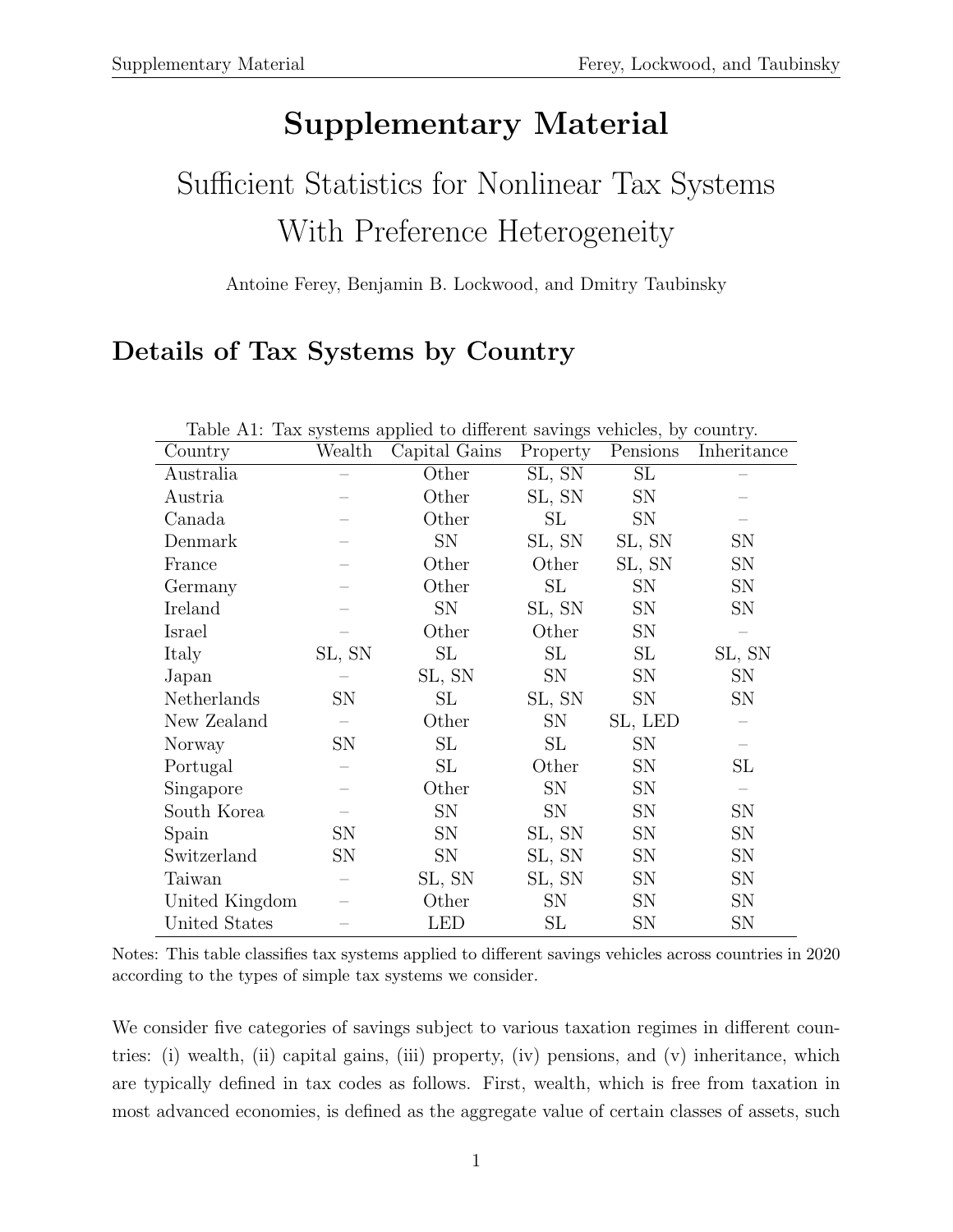# Supplementary Material

# Sufficient Statistics for Nonlinear Tax Systems With Preference Heterogeneity

#### Antoine Ferey, Benjamin B. Lockwood, and Dmitry Taubinsky

# Details of Tax Systems by Country

| Country        | Wealth | Table Tri. Tax bybeeins applied to unterent savings venicles, by country.<br>Capital Gains | Property  | Pensions  | Inheritance |
|----------------|--------|--------------------------------------------------------------------------------------------|-----------|-----------|-------------|
| Australia      |        | Other                                                                                      | SL, SN    | SL        |             |
| Austria        |        | Other                                                                                      | SL, SN    | <b>SN</b> |             |
| Canada         |        | Other                                                                                      | SL        | <b>SN</b> |             |
| Denmark        |        | SN                                                                                         | SL, SN    | SL, SN    | SN          |
| France         |        | Other                                                                                      | Other     | SL, SN    | SN          |
| Germany        |        | Other                                                                                      | SL        | <b>SN</b> | SN          |
| Ireland        |        | SN                                                                                         | SL, SN    | <b>SN</b> | SN          |
| Israel         |        | Other                                                                                      | Other     | <b>SN</b> |             |
| Italy          | SL, SN | SL                                                                                         | SL        | SL        | SL, SN      |
| Japan          |        | SL, SN                                                                                     | <b>SN</b> | <b>SN</b> | <b>SN</b>   |
| Netherlands    | SN     | SL                                                                                         | SL, SN    | <b>SN</b> | SN          |
| New Zealand    |        | Other                                                                                      | <b>SN</b> | SL, LED   |             |
| Norway         | SN     | SL                                                                                         | SL        | <b>SN</b> |             |
| Portugal       |        | SL                                                                                         | Other     | <b>SN</b> | SL          |
| Singapore      |        | Other                                                                                      | <b>SN</b> | <b>SN</b> |             |
| South Korea    |        | SN                                                                                         | <b>SN</b> | <b>SN</b> | SN          |
| Spain          | SN     | SN                                                                                         | SL, SN    | SN        | SN          |
| Switzerland    | SN     | SN                                                                                         | SL, SN    | <b>SN</b> | SN          |
| Taiwan         |        | SL, SN                                                                                     | SL, SN    | <b>SN</b> | SN          |
| United Kingdom |        | Other                                                                                      | <b>SN</b> | <b>SN</b> | SN          |
| United States  |        | LED                                                                                        | SL        | SN        | SN          |

Table A1: Tax systems applied to different savings vehicles, by country.

We consider five categories of savings subject to various taxation regimes in different countries: (i) wealth, (ii) capital gains, (iii) property, (iv) pensions, and (v) inheritance, which are typically defined in tax codes as follows. First, wealth, which is free from taxation in most advanced economies, is defined as the aggregate value of certain classes of assets, such

Notes: This table classifies tax systems applied to different savings vehicles across countries in 2020 according to the types of simple tax systems we consider.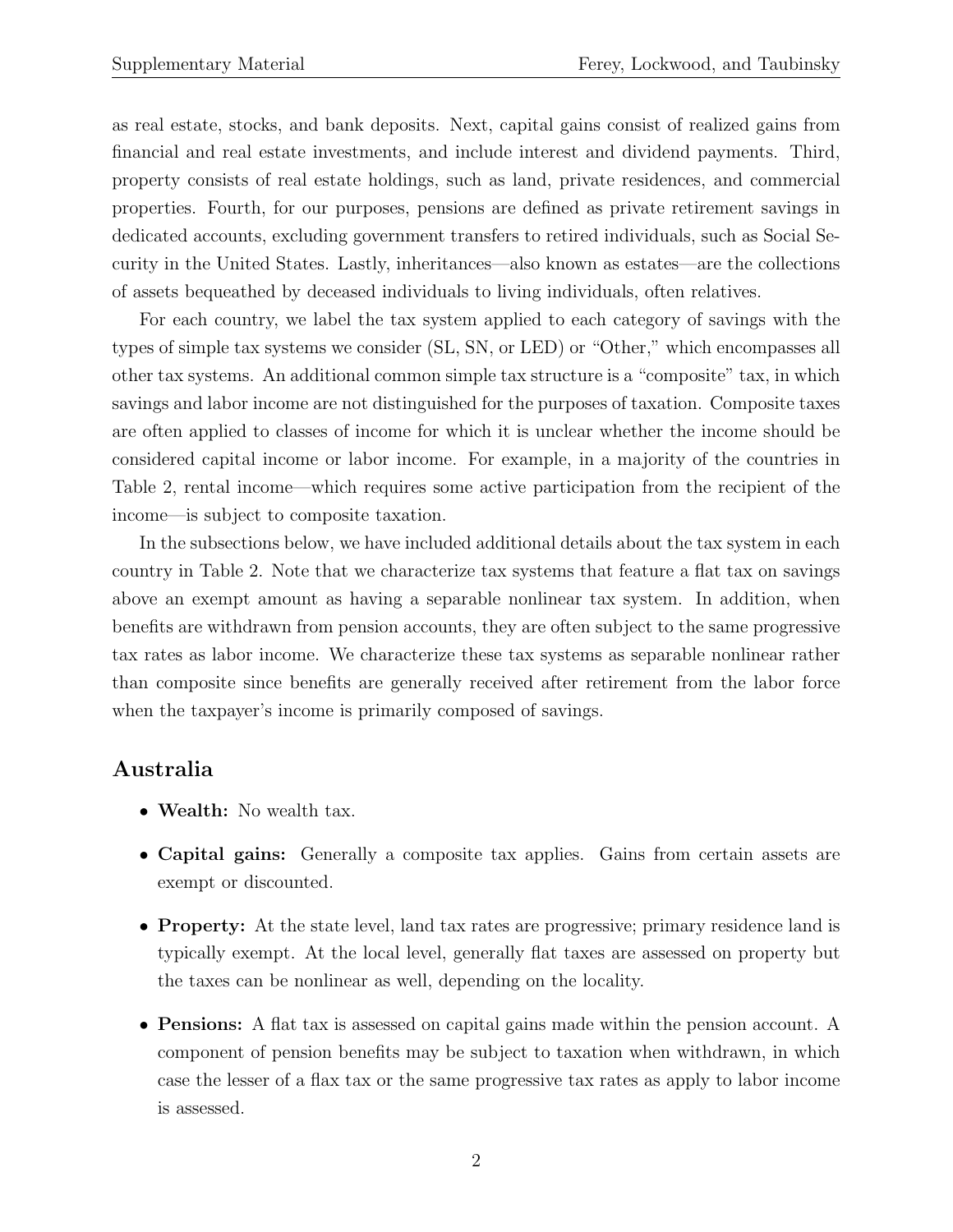as real estate, stocks, and bank deposits. Next, capital gains consist of realized gains from financial and real estate investments, and include interest and dividend payments. Third, property consists of real estate holdings, such as land, private residences, and commercial properties. Fourth, for our purposes, pensions are defined as private retirement savings in dedicated accounts, excluding government transfers to retired individuals, such as Social Security in the United States. Lastly, inheritances—also known as estates—are the collections of assets bequeathed by deceased individuals to living individuals, often relatives.

For each country, we label the tax system applied to each category of savings with the types of simple tax systems we consider (SL, SN, or LED) or "Other," which encompasses all other tax systems. An additional common simple tax structure is a "composite" tax, in which savings and labor income are not distinguished for the purposes of taxation. Composite taxes are often applied to classes of income for which it is unclear whether the income should be considered capital income or labor income. For example, in a majority of the countries in Table 2, rental income—which requires some active participation from the recipient of the income—is subject to composite taxation.

In the subsections below, we have included additional details about the tax system in each country in Table 2. Note that we characterize tax systems that feature a flat tax on savings above an exempt amount as having a separable nonlinear tax system. In addition, when benefits are withdrawn from pension accounts, they are often subject to the same progressive tax rates as labor income. We characterize these tax systems as separable nonlinear rather than composite since benefits are generally received after retirement from the labor force when the taxpayer's income is primarily composed of savings.

#### Australia

- Wealth: No wealth tax.
- Capital gains: Generally a composite tax applies. Gains from certain assets are exempt or discounted.
- Property: At the state level, land tax rates are progressive; primary residence land is typically exempt. At the local level, generally flat taxes are assessed on property but the taxes can be nonlinear as well, depending on the locality.
- Pensions: A flat tax is assessed on capital gains made within the pension account. A component of pension benefits may be subject to taxation when withdrawn, in which case the lesser of a flax tax or the same progressive tax rates as apply to labor income is assessed.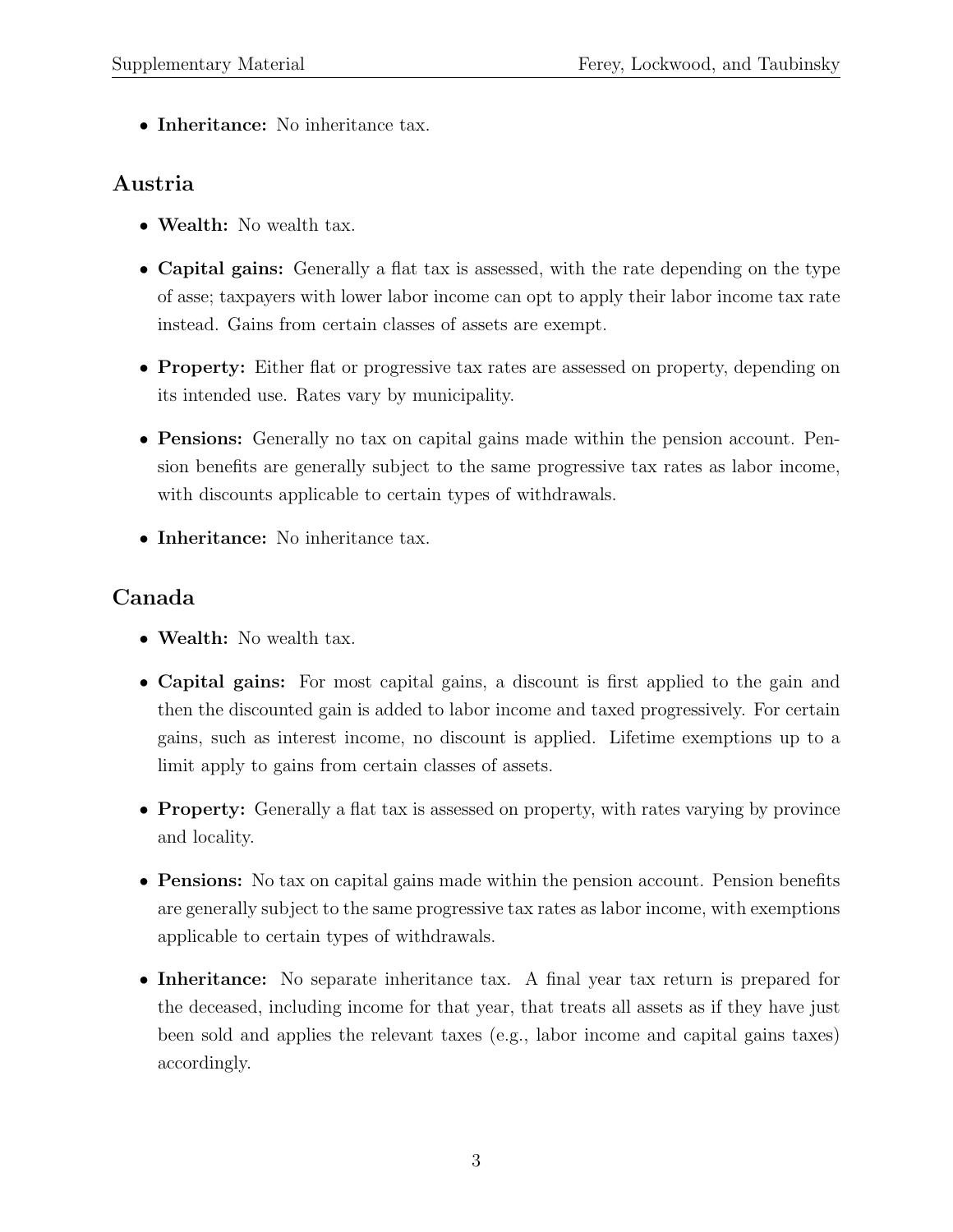• Inheritance: No inheritance tax.

#### Austria

- Wealth: No wealth tax.
- Capital gains: Generally a flat tax is assessed, with the rate depending on the type of asse; taxpayers with lower labor income can opt to apply their labor income tax rate instead. Gains from certain classes of assets are exempt.
- Property: Either flat or progressive tax rates are assessed on property, depending on its intended use. Rates vary by municipality.
- Pensions: Generally no tax on capital gains made within the pension account. Pension benefits are generally subject to the same progressive tax rates as labor income, with discounts applicable to certain types of withdrawals.
- Inheritance: No inheritance tax.

## Canada

- Wealth: No wealth tax.
- Capital gains: For most capital gains, a discount is first applied to the gain and then the discounted gain is added to labor income and taxed progressively. For certain gains, such as interest income, no discount is applied. Lifetime exemptions up to a limit apply to gains from certain classes of assets.
- **Property:** Generally a flat tax is assessed on property, with rates varying by province and locality.
- Pensions: No tax on capital gains made within the pension account. Pension benefits are generally subject to the same progressive tax rates as labor income, with exemptions applicable to certain types of withdrawals.
- Inheritance: No separate inheritance tax. A final year tax return is prepared for the deceased, including income for that year, that treats all assets as if they have just been sold and applies the relevant taxes (e.g., labor income and capital gains taxes) accordingly.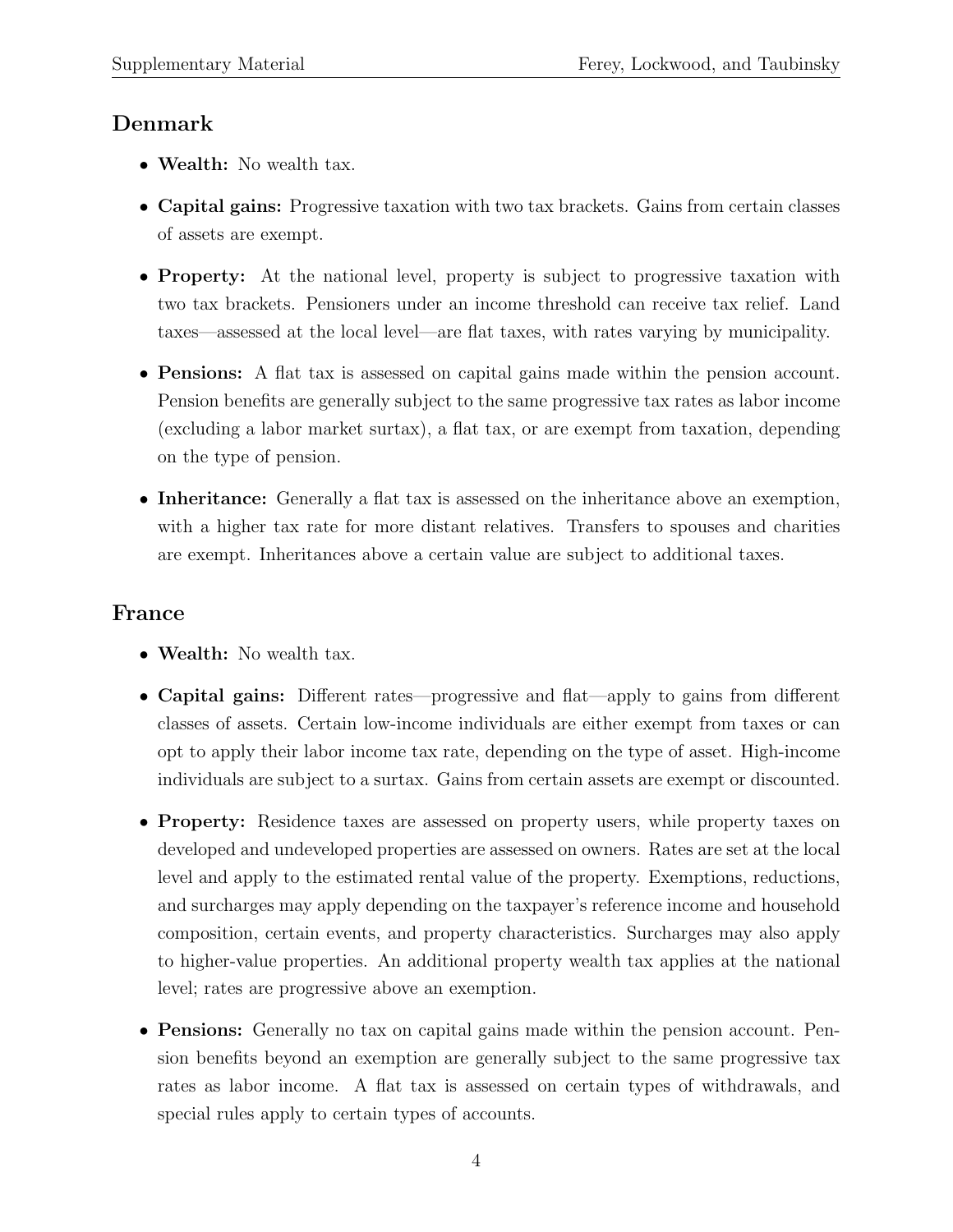#### Denmark

- Wealth: No wealth tax.
- Capital gains: Progressive taxation with two tax brackets. Gains from certain classes of assets are exempt.
- Property: At the national level, property is subject to progressive taxation with two tax brackets. Pensioners under an income threshold can receive tax relief. Land taxes—assessed at the local level—are flat taxes, with rates varying by municipality.
- Pensions: A flat tax is assessed on capital gains made within the pension account. Pension benefits are generally subject to the same progressive tax rates as labor income (excluding a labor market surtax), a flat tax, or are exempt from taxation, depending on the type of pension.
- Inheritance: Generally a flat tax is assessed on the inheritance above an exemption, with a higher tax rate for more distant relatives. Transfers to spouses and charities are exempt. Inheritances above a certain value are subject to additional taxes.

#### France

- Wealth: No wealth tax.
- Capital gains: Different rates—progressive and flat—apply to gains from different classes of assets. Certain low-income individuals are either exempt from taxes or can opt to apply their labor income tax rate, depending on the type of asset. High-income individuals are subject to a surtax. Gains from certain assets are exempt or discounted.
- Property: Residence taxes are assessed on property users, while property taxes on developed and undeveloped properties are assessed on owners. Rates are set at the local level and apply to the estimated rental value of the property. Exemptions, reductions, and surcharges may apply depending on the taxpayer's reference income and household composition, certain events, and property characteristics. Surcharges may also apply to higher-value properties. An additional property wealth tax applies at the national level; rates are progressive above an exemption.
- Pensions: Generally no tax on capital gains made within the pension account. Pension benefits beyond an exemption are generally subject to the same progressive tax rates as labor income. A flat tax is assessed on certain types of withdrawals, and special rules apply to certain types of accounts.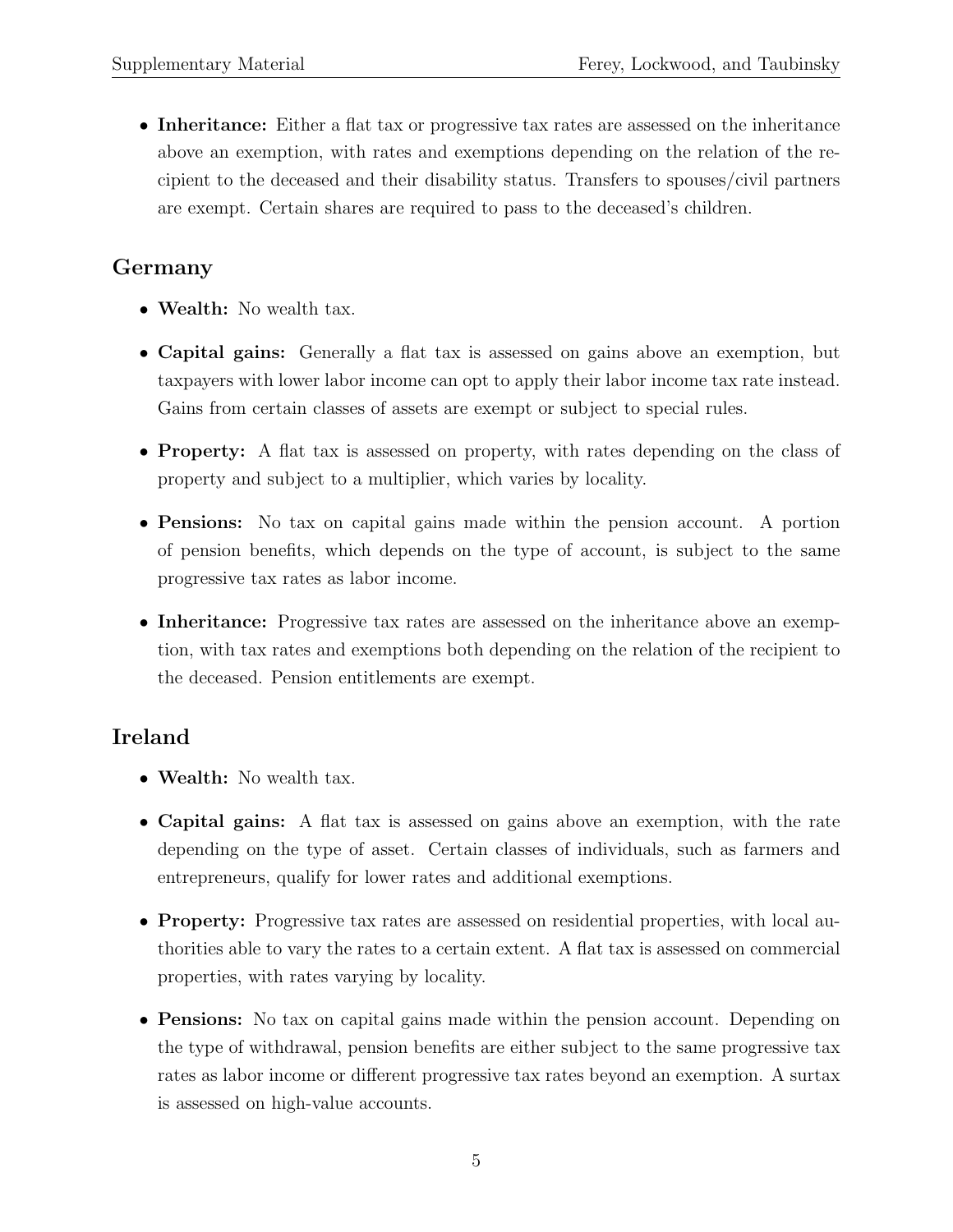• Inheritance: Either a flat tax or progressive tax rates are assessed on the inheritance above an exemption, with rates and exemptions depending on the relation of the recipient to the deceased and their disability status. Transfers to spouses/civil partners are exempt. Certain shares are required to pass to the deceased's children.

#### Germany

- Wealth: No wealth tax.
- Capital gains: Generally a flat tax is assessed on gains above an exemption, but taxpayers with lower labor income can opt to apply their labor income tax rate instead. Gains from certain classes of assets are exempt or subject to special rules.
- **Property:** A flat tax is assessed on property, with rates depending on the class of property and subject to a multiplier, which varies by locality.
- Pensions: No tax on capital gains made within the pension account. A portion of pension benefits, which depends on the type of account, is subject to the same progressive tax rates as labor income.
- Inheritance: Progressive tax rates are assessed on the inheritance above an exemption, with tax rates and exemptions both depending on the relation of the recipient to the deceased. Pension entitlements are exempt.

#### Ireland

- Wealth: No wealth tax.
- Capital gains: A flat tax is assessed on gains above an exemption, with the rate depending on the type of asset. Certain classes of individuals, such as farmers and entrepreneurs, qualify for lower rates and additional exemptions.
- Property: Progressive tax rates are assessed on residential properties, with local authorities able to vary the rates to a certain extent. A flat tax is assessed on commercial properties, with rates varying by locality.
- Pensions: No tax on capital gains made within the pension account. Depending on the type of withdrawal, pension benefits are either subject to the same progressive tax rates as labor income or different progressive tax rates beyond an exemption. A surtax is assessed on high-value accounts.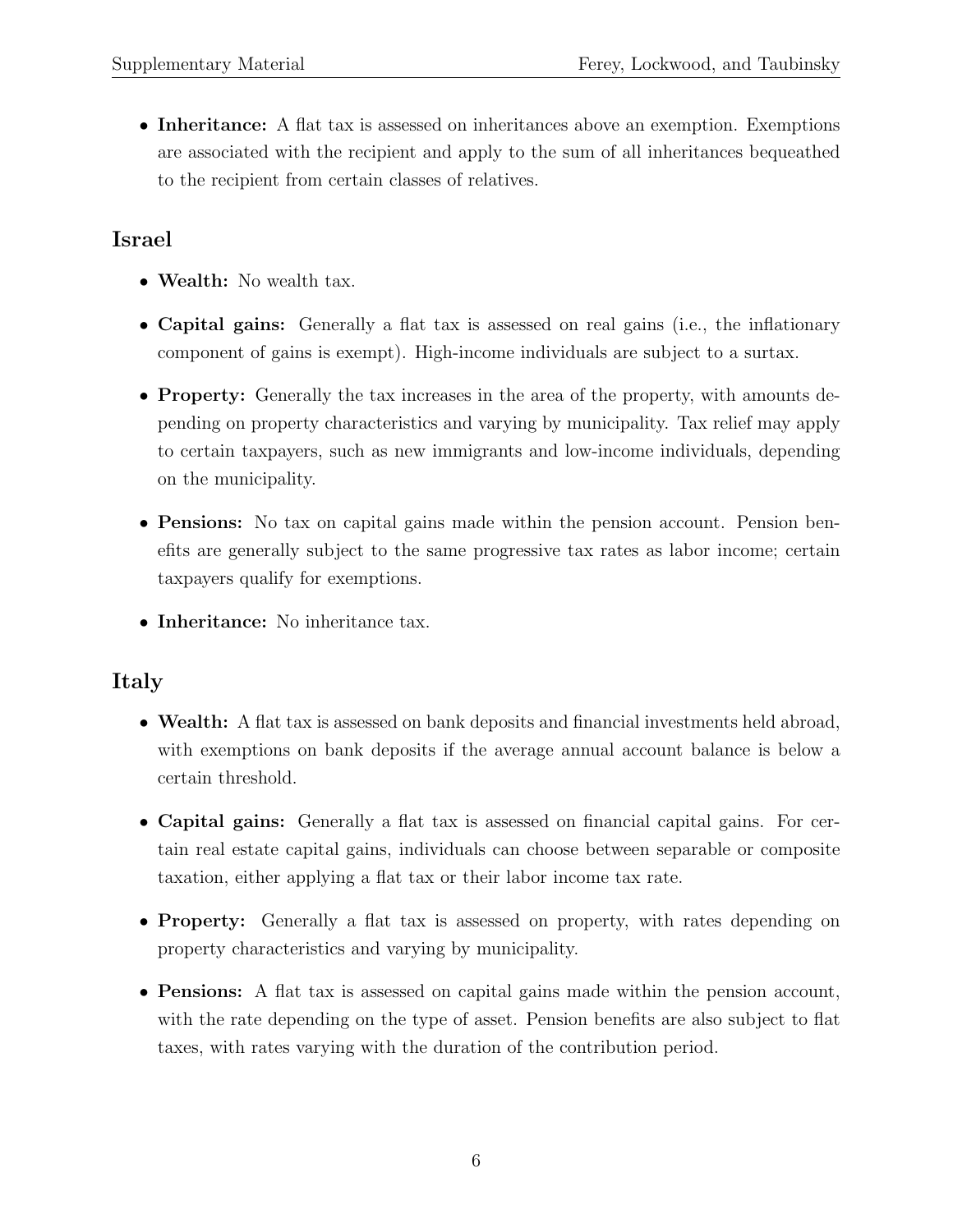• Inheritance: A flat tax is assessed on inheritances above an exemption. Exemptions are associated with the recipient and apply to the sum of all inheritances bequeathed to the recipient from certain classes of relatives.

#### Israel

- Wealth: No wealth tax.
- Capital gains: Generally a flat tax is assessed on real gains (i.e., the inflationary component of gains is exempt). High-income individuals are subject to a surtax.
- Property: Generally the tax increases in the area of the property, with amounts depending on property characteristics and varying by municipality. Tax relief may apply to certain taxpayers, such as new immigrants and low-income individuals, depending on the municipality.
- Pensions: No tax on capital gains made within the pension account. Pension benefits are generally subject to the same progressive tax rates as labor income; certain taxpayers qualify for exemptions.
- Inheritance: No inheritance tax.

#### Italy

- Wealth: A flat tax is assessed on bank deposits and financial investments held abroad, with exemptions on bank deposits if the average annual account balance is below a certain threshold.
- Capital gains: Generally a flat tax is assessed on financial capital gains. For certain real estate capital gains, individuals can choose between separable or composite taxation, either applying a flat tax or their labor income tax rate.
- **Property:** Generally a flat tax is assessed on property, with rates depending on property characteristics and varying by municipality.
- Pensions: A flat tax is assessed on capital gains made within the pension account, with the rate depending on the type of asset. Pension benefits are also subject to flat taxes, with rates varying with the duration of the contribution period.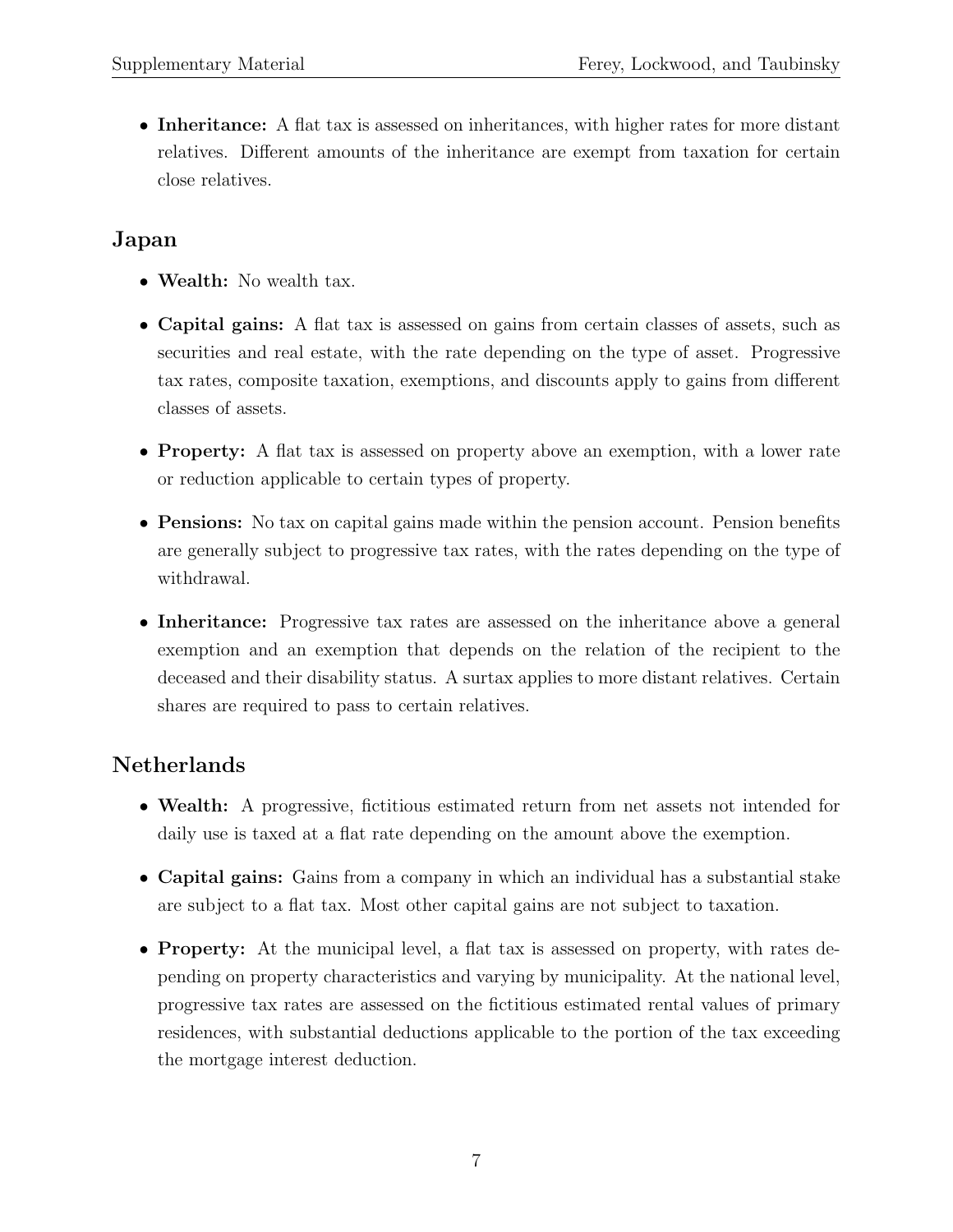• Inheritance: A flat tax is assessed on inheritances, with higher rates for more distant relatives. Different amounts of the inheritance are exempt from taxation for certain close relatives.

#### Japan

- Wealth: No wealth tax.
- Capital gains: A flat tax is assessed on gains from certain classes of assets, such as securities and real estate, with the rate depending on the type of asset. Progressive tax rates, composite taxation, exemptions, and discounts apply to gains from different classes of assets.
- **Property:** A flat tax is assessed on property above an exemption, with a lower rate or reduction applicable to certain types of property.
- Pensions: No tax on capital gains made within the pension account. Pension benefits are generally subject to progressive tax rates, with the rates depending on the type of withdrawal.
- Inheritance: Progressive tax rates are assessed on the inheritance above a general exemption and an exemption that depends on the relation of the recipient to the deceased and their disability status. A surtax applies to more distant relatives. Certain shares are required to pass to certain relatives.

#### Netherlands

- Wealth: A progressive, fictitious estimated return from net assets not intended for daily use is taxed at a flat rate depending on the amount above the exemption.
- Capital gains: Gains from a company in which an individual has a substantial stake are subject to a flat tax. Most other capital gains are not subject to taxation.
- Property: At the municipal level, a flat tax is assessed on property, with rates depending on property characteristics and varying by municipality. At the national level, progressive tax rates are assessed on the fictitious estimated rental values of primary residences, with substantial deductions applicable to the portion of the tax exceeding the mortgage interest deduction.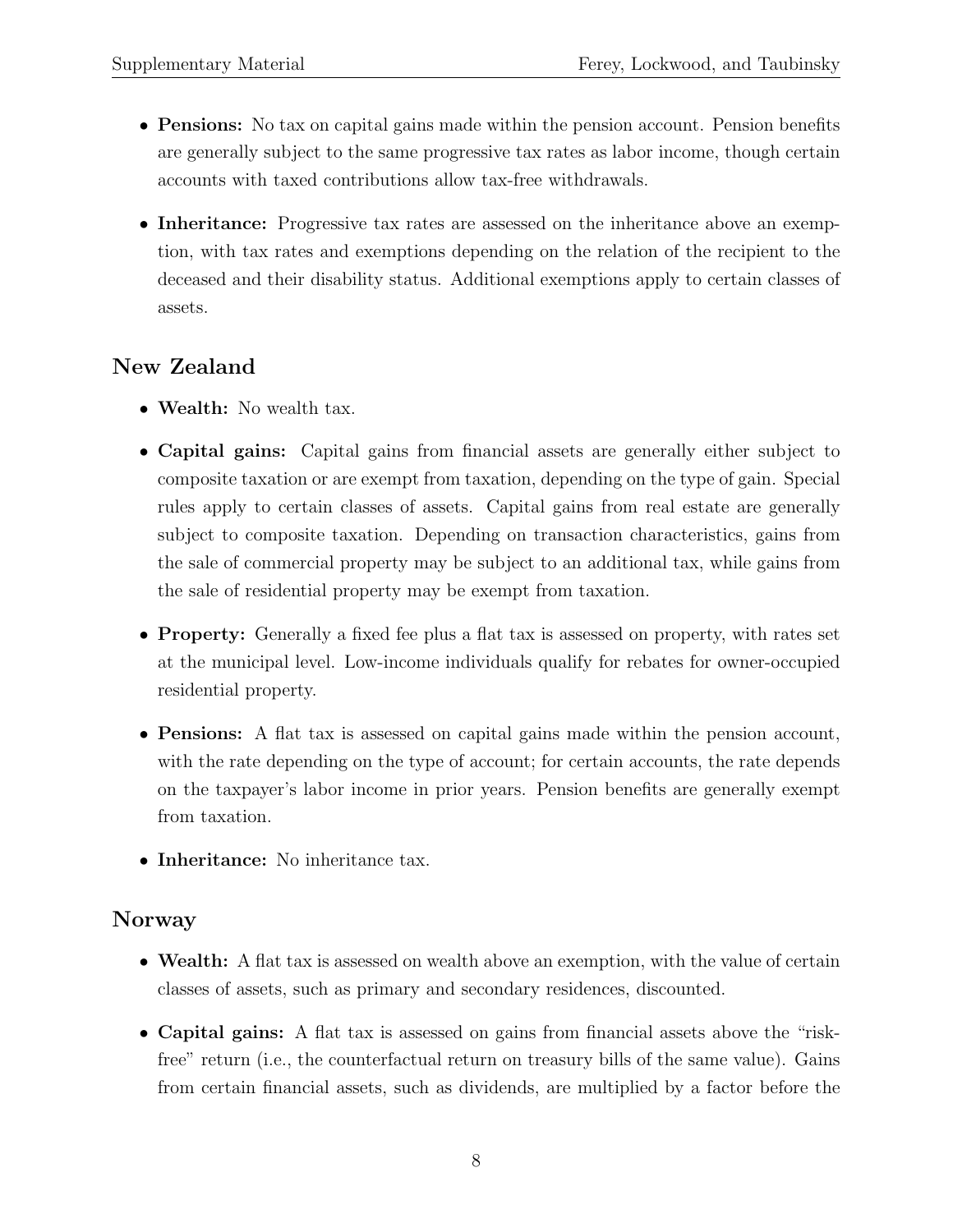- **Pensions:** No tax on capital gains made within the pension account. Pension benefits are generally subject to the same progressive tax rates as labor income, though certain accounts with taxed contributions allow tax-free withdrawals.
- Inheritance: Progressive tax rates are assessed on the inheritance above an exemption, with tax rates and exemptions depending on the relation of the recipient to the deceased and their disability status. Additional exemptions apply to certain classes of assets.

#### New Zealand

- Wealth: No wealth tax.
- Capital gains: Capital gains from financial assets are generally either subject to composite taxation or are exempt from taxation, depending on the type of gain. Special rules apply to certain classes of assets. Capital gains from real estate are generally subject to composite taxation. Depending on transaction characteristics, gains from the sale of commercial property may be subject to an additional tax, while gains from the sale of residential property may be exempt from taxation.
- Property: Generally a fixed fee plus a flat tax is assessed on property, with rates set at the municipal level. Low-income individuals qualify for rebates for owner-occupied residential property.
- Pensions: A flat tax is assessed on capital gains made within the pension account, with the rate depending on the type of account; for certain accounts, the rate depends on the taxpayer's labor income in prior years. Pension benefits are generally exempt from taxation.
- Inheritance: No inheritance tax.

#### Norway

- Wealth: A flat tax is assessed on wealth above an exemption, with the value of certain classes of assets, such as primary and secondary residences, discounted.
- Capital gains: A flat tax is assessed on gains from financial assets above the "riskfree" return (i.e., the counterfactual return on treasury bills of the same value). Gains from certain financial assets, such as dividends, are multiplied by a factor before the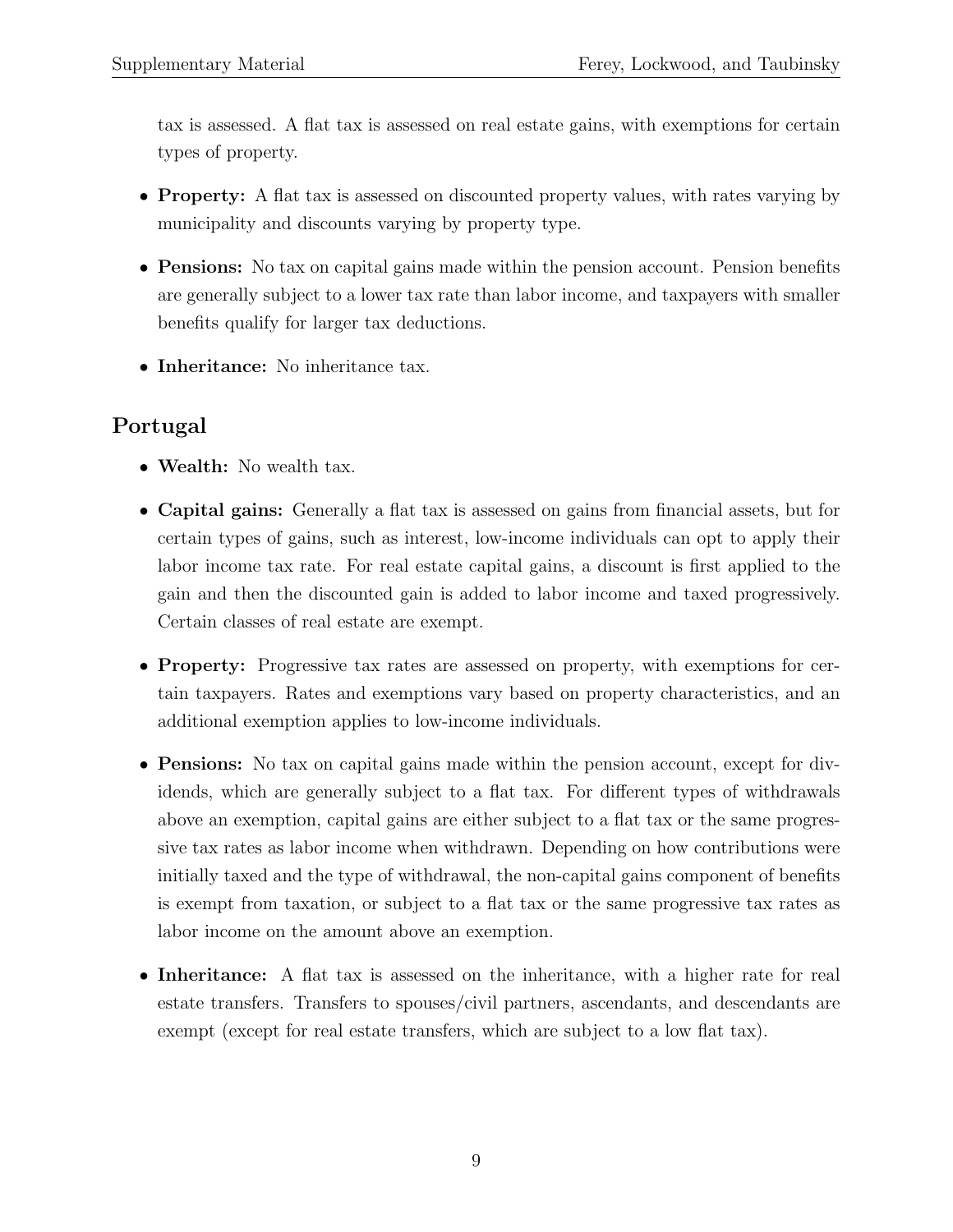tax is assessed. A flat tax is assessed on real estate gains, with exemptions for certain types of property.

- Property: A flat tax is assessed on discounted property values, with rates varying by municipality and discounts varying by property type.
- Pensions: No tax on capital gains made within the pension account. Pension benefits are generally subject to a lower tax rate than labor income, and taxpayers with smaller benefits qualify for larger tax deductions.
- Inheritance: No inheritance tax.

## Portugal

- Wealth: No wealth tax.
- Capital gains: Generally a flat tax is assessed on gains from financial assets, but for certain types of gains, such as interest, low-income individuals can opt to apply their labor income tax rate. For real estate capital gains, a discount is first applied to the gain and then the discounted gain is added to labor income and taxed progressively. Certain classes of real estate are exempt.
- Property: Progressive tax rates are assessed on property, with exemptions for certain taxpayers. Rates and exemptions vary based on property characteristics, and an additional exemption applies to low-income individuals.
- Pensions: No tax on capital gains made within the pension account, except for dividends, which are generally subject to a flat tax. For different types of withdrawals above an exemption, capital gains are either subject to a flat tax or the same progressive tax rates as labor income when withdrawn. Depending on how contributions were initially taxed and the type of withdrawal, the non-capital gains component of benefits is exempt from taxation, or subject to a flat tax or the same progressive tax rates as labor income on the amount above an exemption.
- Inheritance: A flat tax is assessed on the inheritance, with a higher rate for real estate transfers. Transfers to spouses/civil partners, ascendants, and descendants are exempt (except for real estate transfers, which are subject to a low flat tax).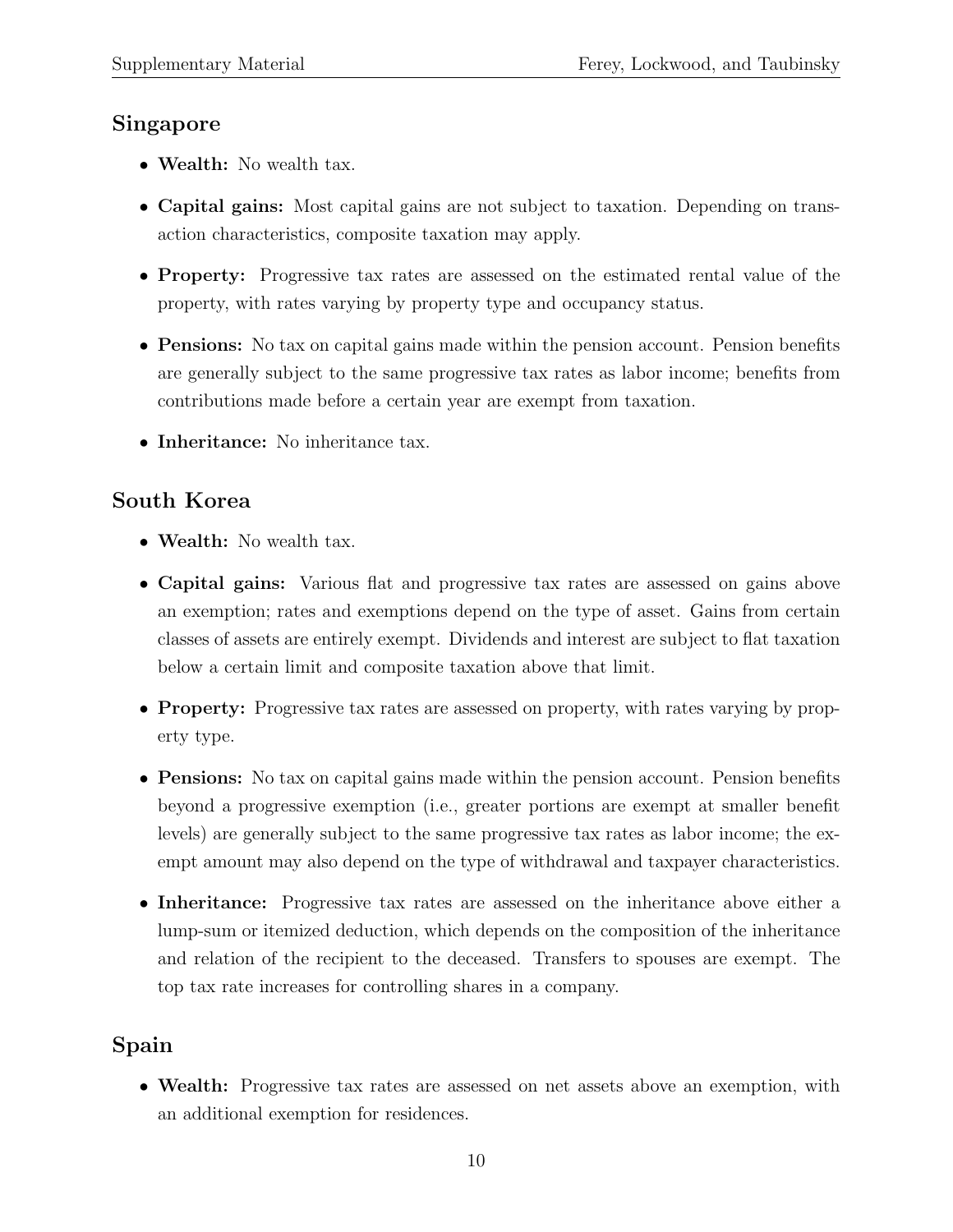#### Singapore

- Wealth: No wealth tax.
- Capital gains: Most capital gains are not subject to taxation. Depending on transaction characteristics, composite taxation may apply.
- Property: Progressive tax rates are assessed on the estimated rental value of the property, with rates varying by property type and occupancy status.
- **Pensions:** No tax on capital gains made within the pension account. Pension benefits are generally subject to the same progressive tax rates as labor income; benefits from contributions made before a certain year are exempt from taxation.
- Inheritance: No inheritance tax.

#### South Korea

- Wealth: No wealth tax.
- Capital gains: Various flat and progressive tax rates are assessed on gains above an exemption; rates and exemptions depend on the type of asset. Gains from certain classes of assets are entirely exempt. Dividends and interest are subject to flat taxation below a certain limit and composite taxation above that limit.
- **Property:** Progressive tax rates are assessed on property, with rates varying by property type.
- Pensions: No tax on capital gains made within the pension account. Pension benefits beyond a progressive exemption (i.e., greater portions are exempt at smaller benefit levels) are generally subject to the same progressive tax rates as labor income; the exempt amount may also depend on the type of withdrawal and taxpayer characteristics.
- Inheritance: Progressive tax rates are assessed on the inheritance above either a lump-sum or itemized deduction, which depends on the composition of the inheritance and relation of the recipient to the deceased. Transfers to spouses are exempt. The top tax rate increases for controlling shares in a company.

## Spain

• Wealth: Progressive tax rates are assessed on net assets above an exemption, with an additional exemption for residences.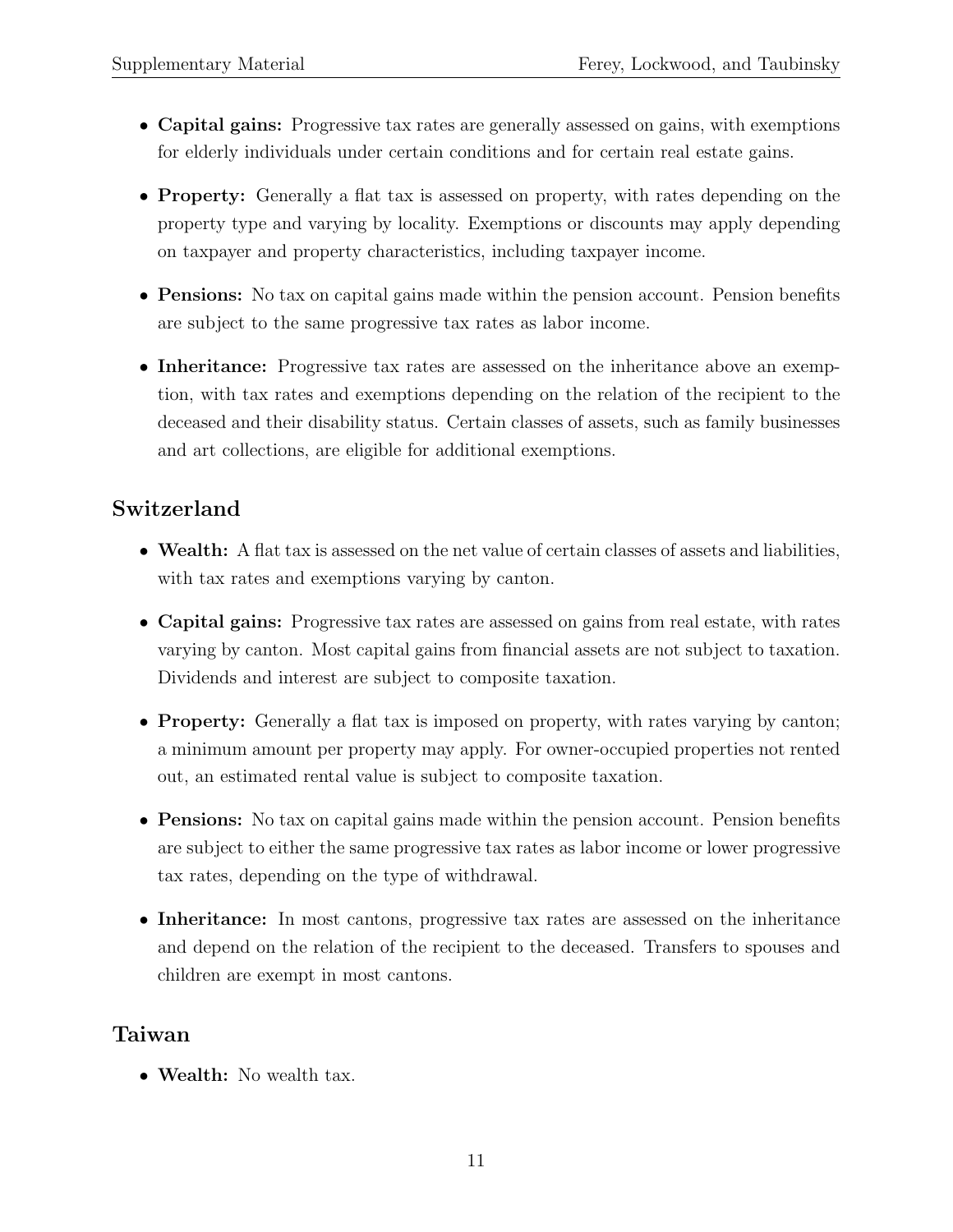- Capital gains: Progressive tax rates are generally assessed on gains, with exemptions for elderly individuals under certain conditions and for certain real estate gains.
- Property: Generally a flat tax is assessed on property, with rates depending on the property type and varying by locality. Exemptions or discounts may apply depending on taxpayer and property characteristics, including taxpayer income.
- **Pensions:** No tax on capital gains made within the pension account. Pension benefits are subject to the same progressive tax rates as labor income.
- Inheritance: Progressive tax rates are assessed on the inheritance above an exemption, with tax rates and exemptions depending on the relation of the recipient to the deceased and their disability status. Certain classes of assets, such as family businesses and art collections, are eligible for additional exemptions.

#### Switzerland

- Wealth: A flat tax is assessed on the net value of certain classes of assets and liabilities, with tax rates and exemptions varying by canton.
- Capital gains: Progressive tax rates are assessed on gains from real estate, with rates varying by canton. Most capital gains from financial assets are not subject to taxation. Dividends and interest are subject to composite taxation.
- Property: Generally a flat tax is imposed on property, with rates varying by canton; a minimum amount per property may apply. For owner-occupied properties not rented out, an estimated rental value is subject to composite taxation.
- Pensions: No tax on capital gains made within the pension account. Pension benefits are subject to either the same progressive tax rates as labor income or lower progressive tax rates, depending on the type of withdrawal.
- Inheritance: In most cantons, progressive tax rates are assessed on the inheritance and depend on the relation of the recipient to the deceased. Transfers to spouses and children are exempt in most cantons.

#### Taiwan

• Wealth: No wealth tax.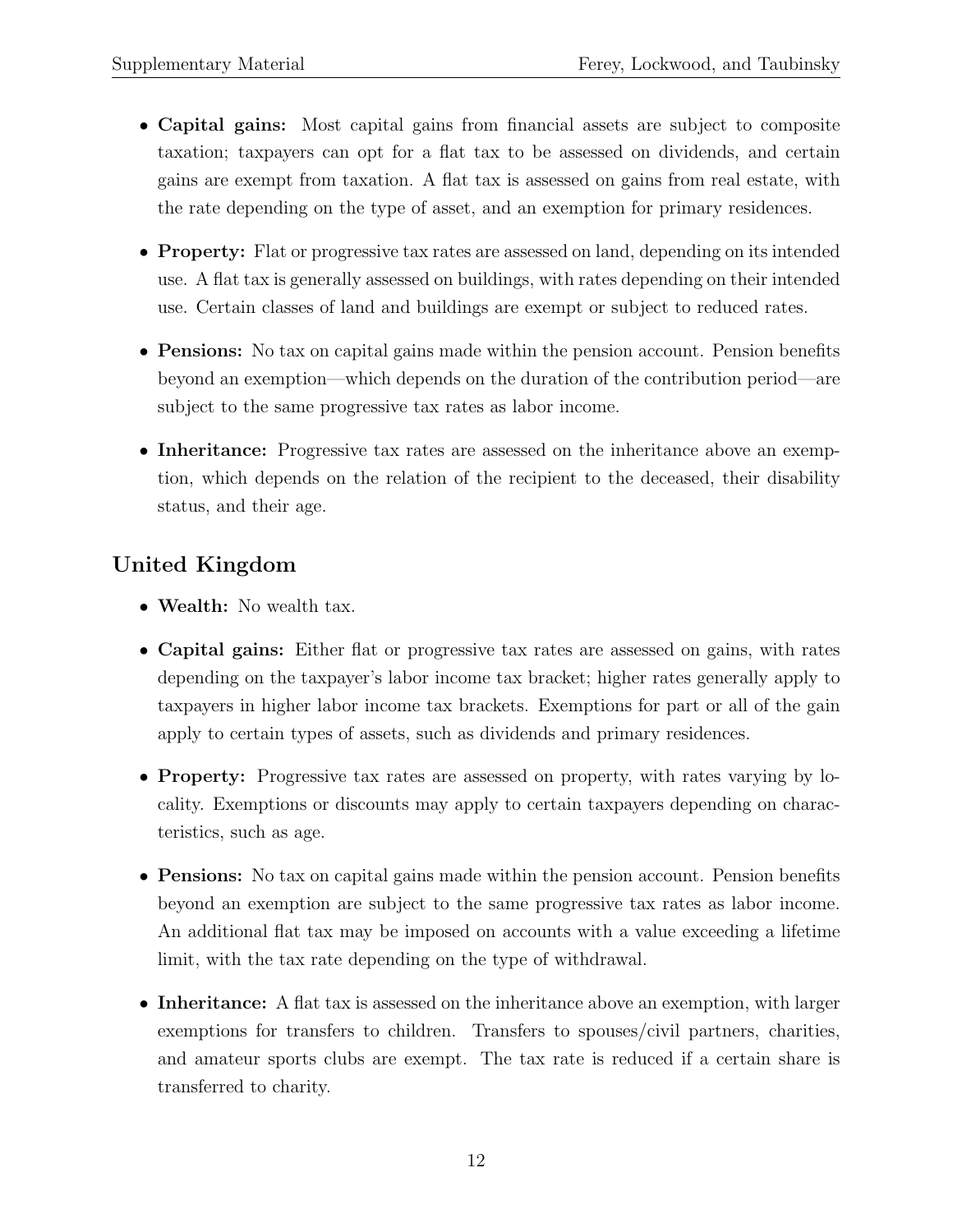- Capital gains: Most capital gains from financial assets are subject to composite taxation; taxpayers can opt for a flat tax to be assessed on dividends, and certain gains are exempt from taxation. A flat tax is assessed on gains from real estate, with the rate depending on the type of asset, and an exemption for primary residences.
- Property: Flat or progressive tax rates are assessed on land, depending on its intended use. A flat tax is generally assessed on buildings, with rates depending on their intended use. Certain classes of land and buildings are exempt or subject to reduced rates.
- Pensions: No tax on capital gains made within the pension account. Pension benefits beyond an exemption—which depends on the duration of the contribution period—are subject to the same progressive tax rates as labor income.
- Inheritance: Progressive tax rates are assessed on the inheritance above an exemption, which depends on the relation of the recipient to the deceased, their disability status, and their age.

## United Kingdom

- Wealth: No wealth tax.
- Capital gains: Either flat or progressive tax rates are assessed on gains, with rates depending on the taxpayer's labor income tax bracket; higher rates generally apply to taxpayers in higher labor income tax brackets. Exemptions for part or all of the gain apply to certain types of assets, such as dividends and primary residences.
- Property: Progressive tax rates are assessed on property, with rates varying by locality. Exemptions or discounts may apply to certain taxpayers depending on characteristics, such as age.
- Pensions: No tax on capital gains made within the pension account. Pension benefits beyond an exemption are subject to the same progressive tax rates as labor income. An additional flat tax may be imposed on accounts with a value exceeding a lifetime limit, with the tax rate depending on the type of withdrawal.
- Inheritance: A flat tax is assessed on the inheritance above an exemption, with larger exemptions for transfers to children. Transfers to spouses/civil partners, charities, and amateur sports clubs are exempt. The tax rate is reduced if a certain share is transferred to charity.